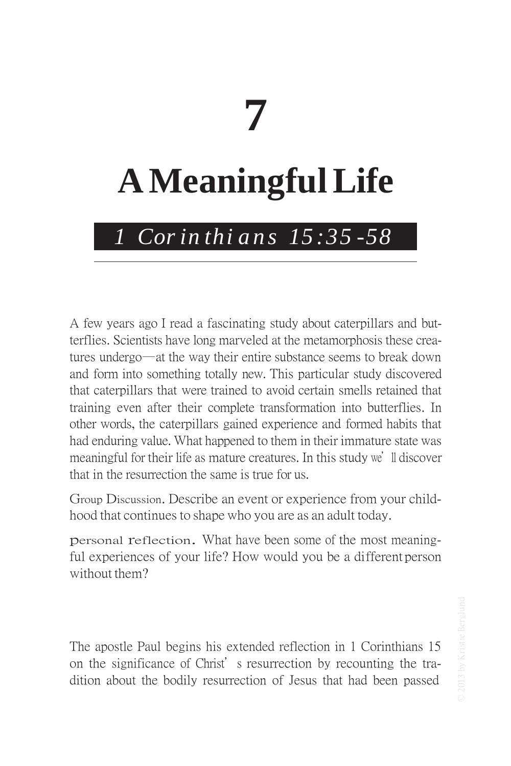# **7**

## **AMeaningfulLife**

## *1 Cor in thi a n s 15 :35 -58*

A few years ago I read a fascinating study about caterpillars and butterflies. Scientists have long marveled at the metamorphosis these creatures undergo—at the way their entire substance seems to break down and form into something totally new. This particular study discovered that caterpillars that were trained to avoid certain smells retained that training even after their complete transformation into butterflies. In other words, the caterpillars gained experience and formed habits that had enduring value. What happened to them in their immature state was meaningful for their life as mature creatures. In this study we'll discover that in the resurrection the same is true for us.

Group Discussion. Describe an event or experience from your childhood that continues to shape who you are as an adult today.

personal reflection. What have been some of the most meaningful experiences of your life? How would you be a different person without them?

The apostle Paul begins his extended reflection in 1 Corinthians 15 on the significance of Christ's resurrection by recounting the tradition about the bodily resurrection of Jesus that had been passed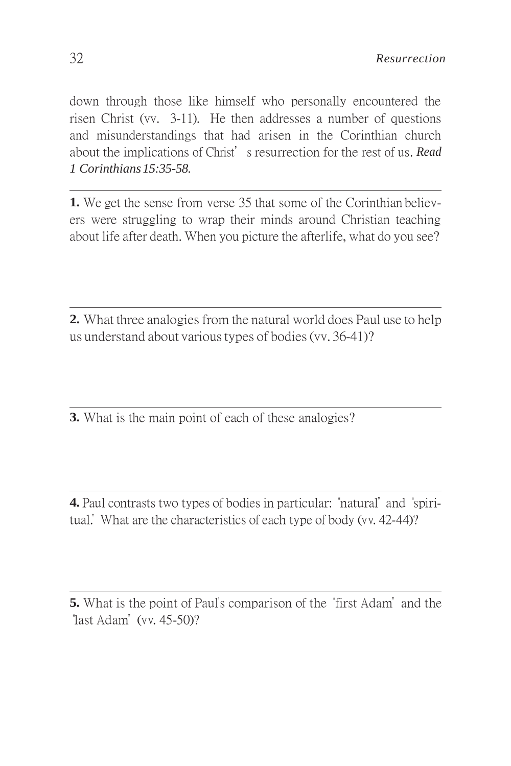down through those like himself who personally encountered the risen Christ (vv. 3-11). He then addresses a number of questions and misunderstandings that had arisen in the Corinthian church about the implications of Christ's resurrection for the rest of us. *Read 1 Corinthians 15:35-58.*

**1.** We get the sense from verse 35 that some of the Corinthian believers were struggling to wrap their minds around Christian teaching about life after death. When you picture the afterlife, what do you see?

**2.** What three analogies from the natural world does Paul use to help us understand about varioustypes of bodies(vv. 36-41)?

**3.** What is the main point of each of these analogies?

**4.** Paul contrasts two types of bodies in particular: "natural" and "spiritual." What are the characteristics of each type of body (vv. 42-44)?

**<sup>5.</sup>** What is the point of Paul's comparison of the "first Adam" and the "last Adam" (vv. 45-50)?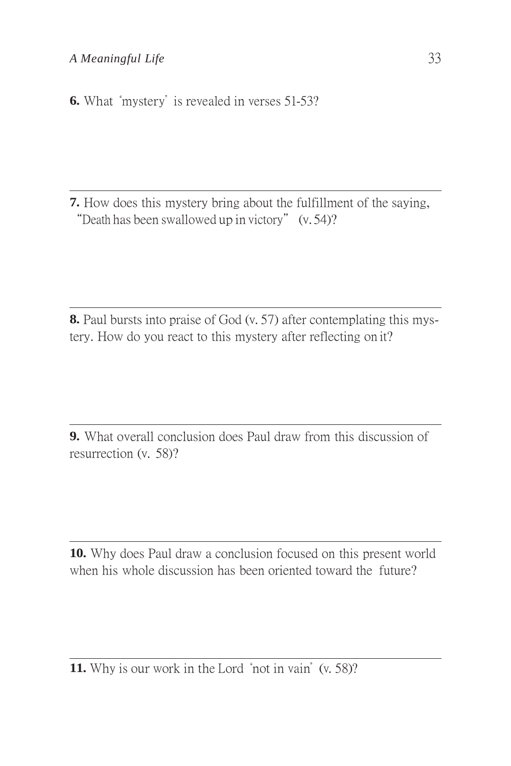### *A Meaningful Life* 33

**6.** What "mystery" is revealed in verses 51-53?

**7.** How does this mystery bring about the fulfillment of the saying, "Death has been swallowed up in victory" (v. 54)?

**8.** Paul bursts into praise of God (v. 57) after contemplating this mystery. How do you react to this mystery after reflecting on it?

**9.** What overall conclusion does Paul draw from this discussion of resurrection (v. 58)?

**10.** Why does Paul draw a conclusion focused on this present world when his whole discussion has been oriented toward the future?